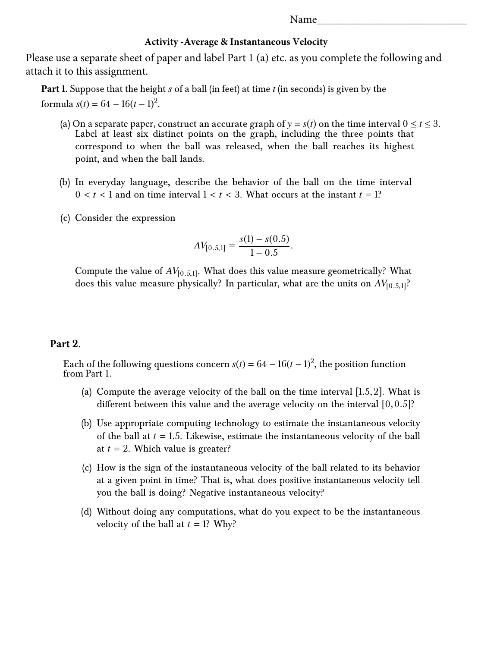## **Activity -Average & Instantaneous Velocity**

Please use a separate sheet of paper and label Part 1 (a) etc. as you complete the following and attach it to this assignment.

**Part 1.** Suppose that the height *s* of a ball (in feet) at time *t* (in seconds) is given by the formula  $s(t) = 64 - 16(t - 1)^2$ .

- (a) On a separate paper, construct an accurate graph of  $y = s(t)$  on the time interval  $0 \le t \le 3$ . Label at least six distinct points on the graph, including the three points that correspond to when the ball was released, when the ball reaches its highest point, and when the ball lands.
- (b) In everyday language, describe the behavior of the ball on the time interval  $0 < t < 1$  and on time interval  $1 < t < 3$ . What occurs at the instant  $t = 1$ ?
- (c) Consider the expression

$$
AV_{[0.5,1]} = \frac{s(1) - s(0.5)}{1 - 0.5}.
$$

Compute the value of  $AV_{[0.5,1]}$ . What does this value measure geometrically? What does this value measure geometrically? What does this value measure physically? In particular, what are the units on  $AV_{[0.5,1]}$ ?

## **Part 2.**

Each of the following questions concern  $s(t) = 64 - 16(t-1)^2$ , the position function from Part 1.

- (a) Compute the average velocity of the ball on the time interval [1.5,2]. What is different between this value and the average velocity on the interval  $[0,0.5]$ ?
- (b) Use appropriate computing technology to estimate the instantaneous velocity of the ball at *<sup>t</sup>* <sup>=</sup> <sup>1</sup>.5. Likewise, estimate the instantaneous velocity of the ball at  $t = 2$ . Which value is greater?
- (c) How is the sign of the instantaneous velocity of the ball related to its behavior at a given point in time? That is, what does positive instantaneous velocity tell you the ball is doing? Negative instantaneous velocity?
- (d) Without doing any computations, what do you expect to be the instantaneous velocity of the ball at  $t = 1$ ? Why?